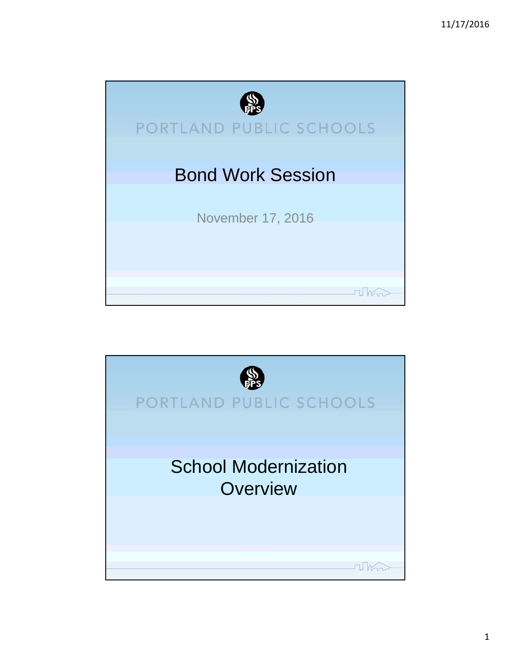

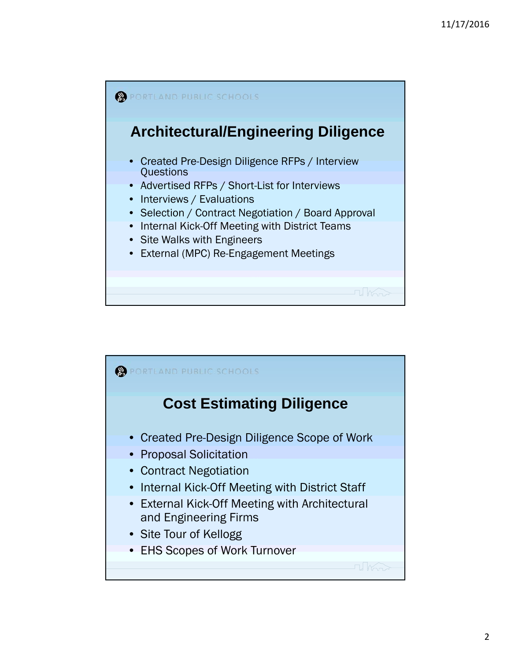

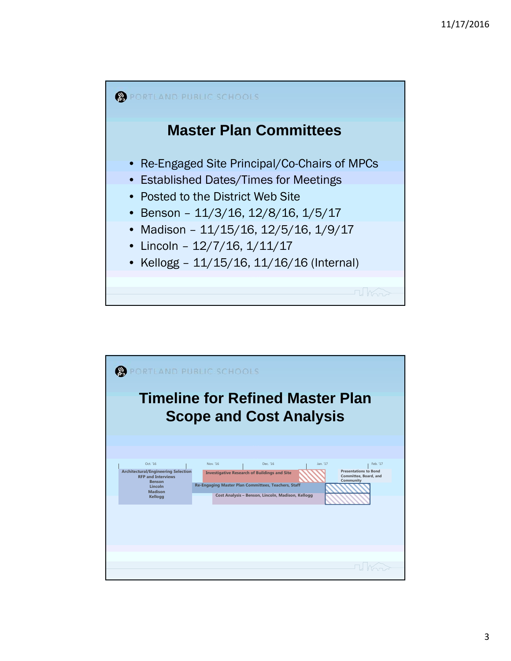

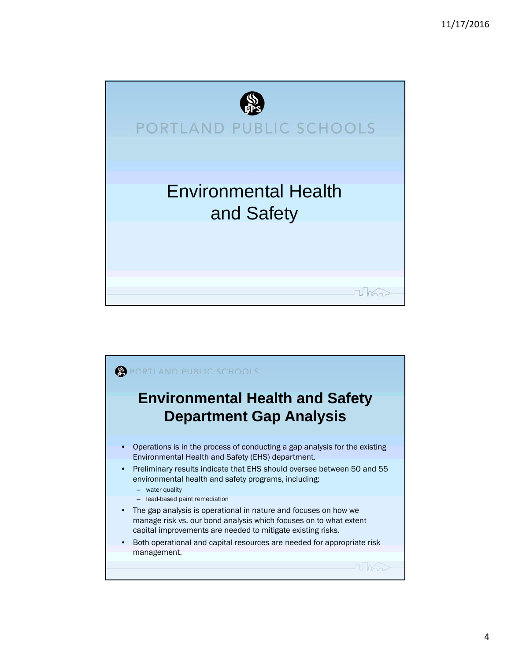

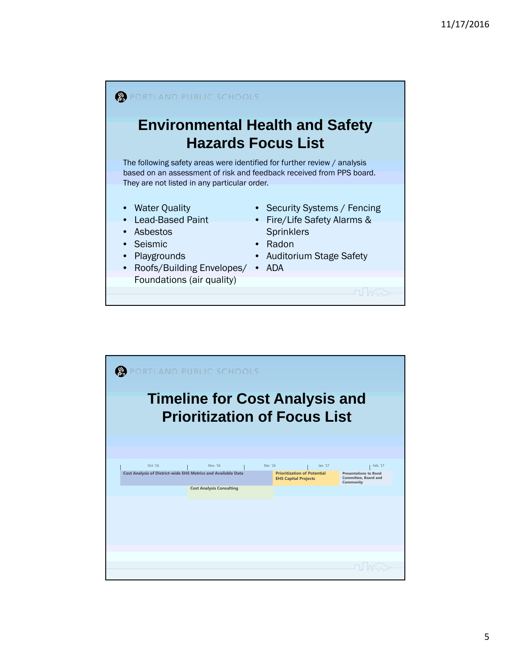

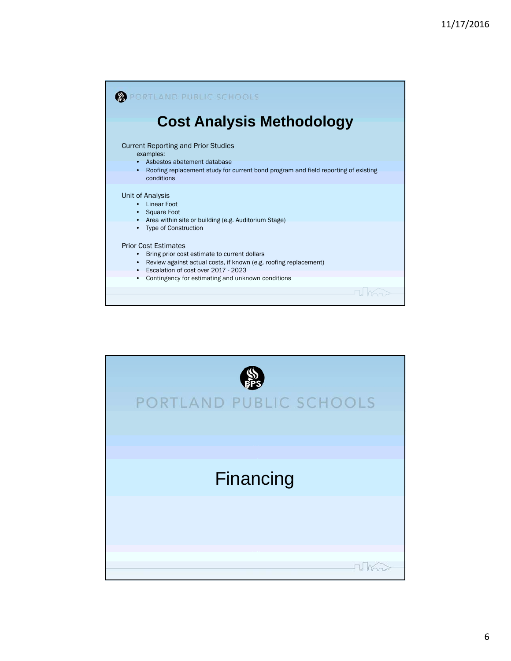

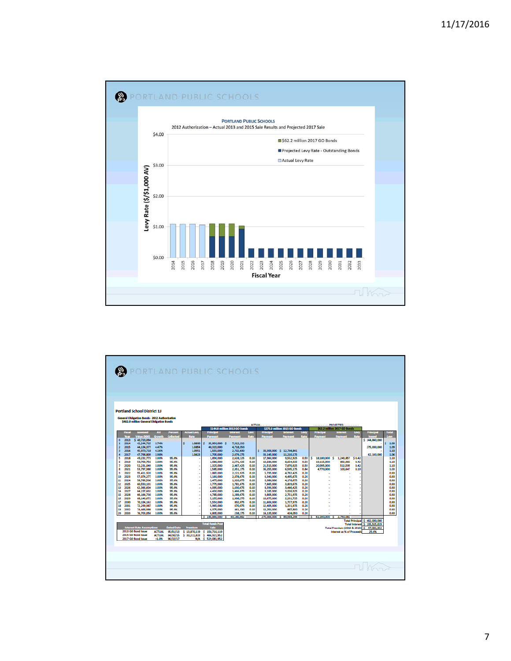

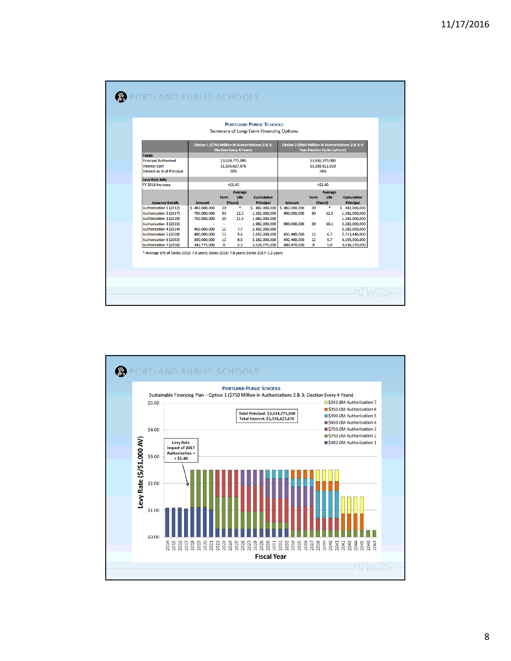| <b>Totals</b>                                                                                                                                                                                                | Option 1 (\$750 Million in Authorizations 2 & 3;                                                                                                                                                                  |                                                                                                                                      |                                                                                          |                                                                                                                         | <b>PORTLAND PUBLIC SCHOOLS</b><br><b>Summary of Long-Term Financing Options</b>                                                      |  |  |  |  |  |
|--------------------------------------------------------------------------------------------------------------------------------------------------------------------------------------------------------------|-------------------------------------------------------------------------------------------------------------------------------------------------------------------------------------------------------------------|--------------------------------------------------------------------------------------------------------------------------------------|------------------------------------------------------------------------------------------|-------------------------------------------------------------------------------------------------------------------------|--------------------------------------------------------------------------------------------------------------------------------------|--|--|--|--|--|
|                                                                                                                                                                                                              | <b>Election Every 4 Years)</b>                                                                                                                                                                                    | Option 2 (\$900 Million in Authorizations 2 & 3; 6<br><b>Year Election Cycle Upfront)</b>                                            |                                                                                          |                                                                                                                         |                                                                                                                                      |  |  |  |  |  |
| <b>Principal Authorized</b><br><b>Interest Cost</b><br><b>Interest as % of Principal</b>                                                                                                                     | \$3,524,775,000<br>\$1,336,627,676<br>38%                                                                                                                                                                         | \$3,636,370,000<br>\$1,238,611,010<br>34%                                                                                            |                                                                                          |                                                                                                                         |                                                                                                                                      |  |  |  |  |  |
| <b>Levy Rate Info</b><br>FY 2018 Increase                                                                                                                                                                    | $+ $1.40$                                                                                                                                                                                                         |                                                                                                                                      |                                                                                          | $+ $1.40$                                                                                                               |                                                                                                                                      |  |  |  |  |  |
| <b>Issuance Details</b>                                                                                                                                                                                      | <b>Average</b><br>Life<br><b>Term</b><br><b>Amount</b><br>(Years)                                                                                                                                                 | <b>Cumulative</b><br><b>Principal</b>                                                                                                | <b>Amount</b>                                                                            | <b>Average</b><br>Life<br><b>Term</b><br>(Years)                                                                        | <b>Cumulative</b><br><b>Principal</b>                                                                                                |  |  |  |  |  |
| Authorization 1 (2012)<br>Authorization 2 (2017)<br>Authorization 3 (2020)<br>Authorization 3 (2022)<br>Authorization 4 (2024)<br>Authorization 5 (2028)<br>Authorization 6 (2032)<br>Authorization 7 (2036) | ٠<br>\$482,000,000<br>20<br>750,000,000<br>30<br>12.2<br>20<br>11.5<br>750,000,000<br>$\sim$<br>×.<br>450,000,000<br>12<br>7.7<br>400,000,000<br>12<br>9.6<br>8.5<br>350,000,000<br>12<br>8<br>5.3<br>342,775,000 | \$482,000,000<br>1,232,000,000<br>1,982,000,000<br>1,982,000,000<br>2,432,000,000<br>2,832,000,000<br>3,182,000,000<br>3,524,775,000 | \$482,000,000<br>900,000,000<br>900,000,000<br>431,440,000<br>442,460,000<br>480,470,000 | ٠<br>20<br>30<br>12.5<br>$\sim$<br>$\mathbf{r}$<br>10.1<br>20<br>$\sim$<br>$\sim$<br>12<br>6.7<br>12<br>5.7<br>8<br>5.0 | \$482,000,000<br>1,382,000,000<br>1,382,000,000<br>2,282,000,000<br>2,282,000,000<br>2,713,440,000<br>3,155,900,000<br>3,636,370,000 |  |  |  |  |  |

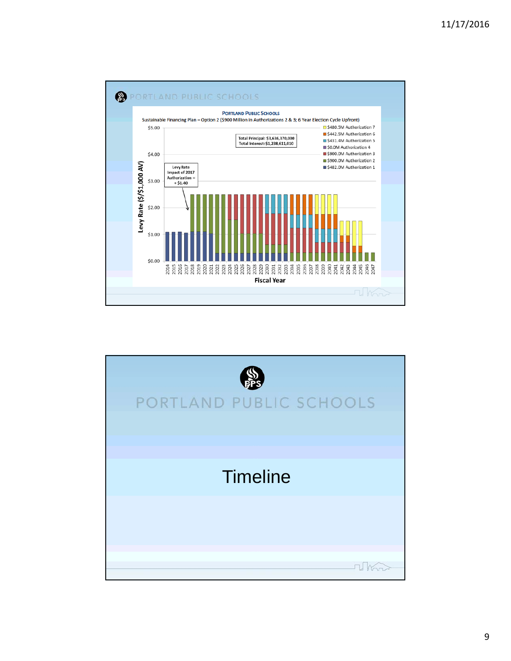

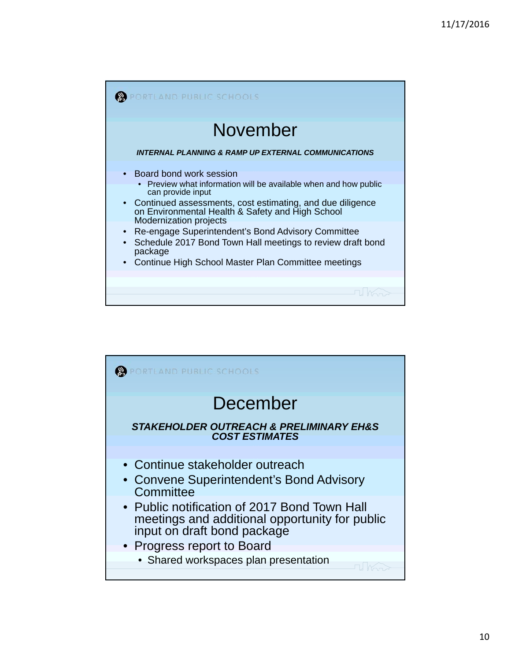